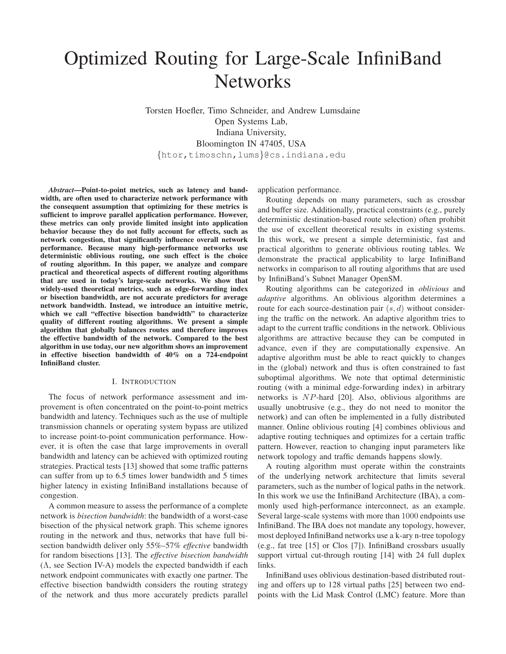# Optimized Routing for Large-Scale InfiniBand **Networks**

Torsten Hoefler, Timo Schneider, and Andrew Lumsdaine Open Systems Lab, Indiana University, Bloomington IN 47405, USA {htor,timoschn,lums}@cs.indiana.edu

*Abstract***—Point-to-point metrics, such as latency and bandwidth, are often used to characterize network performance with the consequent assumption that optimizing for these metrics is sufficient to improve parallel application performance. However, these metrics can only provide limited insight into application behavior because they do not fully account for effects, such as network congestion, that significantly influence overall network performance. Because many high-performance networks use deterministic oblivious routing, one such effect is the choice of routing algorithm. In this paper, we analyze and compare practical and theoretical aspects of different routing algorithms that are used in today's large-scale networks. We show that widely-used theoretical metrics, such as edge-forwarding index or bisection bandwidth, are not accurate predictors for average network bandwidth. Instead, we introduce an intuitive metric, which we call "effective bisection bandwidth" to characterize quality of different routing algorithms. We present a simple algorithm that globally balances routes and therefore improves the effective bandwidth of the network. Compared to the best algorithm in use today, our new algorithm shows an improvement in effective bisection bandwidth of 40% on a 724-endpoint InfiniBand cluster.**

## I. INTRODUCTION

The focus of network performance assessment and improvement is often concentrated on the point-to-point metrics bandwidth and latency. Techniques such as the use of multiple transmission channels or operating system bypass are utilized to increase point-to-point communication performance. However, it is often the case that large improvements in overall bandwidth and latency can be achieved with optimized routing strategies. Practical tests [13] showed that some traffic patterns can suffer from up to 6.5 times lower bandwidth and 5 times higher latency in existing InfiniBand installations because of congestion.

A common measure to assess the performance of a complete network is *bisection bandwidth*: the bandwidth of a worst-case bisection of the physical network graph. This scheme ignores routing in the network and thus, networks that have full bisection bandwidth deliver only 55%–57% *effective* bandwidth for random bisections [13]. The *effective bisection bandwidth*  $(\Lambda, \text{ see Section IV-A})$  models the expected bandwidth if each network endpoint communicates with exactly one partner. The effective bisection bandwidth considers the routing strategy of the network and thus more accurately predicts parallel application performance.

Routing depends on many parameters, such as crossbar and buffer size. Additionally, practical constraints (e.g., purely deterministic destination-based route selection) often prohibit the use of excellent theoretical results in existing systems. In this work, we present a simple deterministic, fast and practical algorithm to generate oblivious routing tables. We demonstrate the practical applicability to large InfiniBand networks in comparison to all routing algorithms that are used by InfiniBand's Subnet Manager OpenSM.

Routing algorithms can be categorized in *oblivious* and *adaptive* algorithms. An oblivious algorithm determines a route for each source-destination pair  $(s, d)$  without considering the traffic on the network. An adaptive algorithm tries to adapt to the current traffic conditions in the network. Oblivious algorithms are attractive because they can be computed in advance, even if they are computationally expensive. An adaptive algorithm must be able to react quickly to changes in the (global) network and thus is often constrained to fast suboptimal algorithms. We note that optimal deterministic routing (with a minimal edge-forwarding index) in arbitrary networks is NP-hard [20]. Also, oblivious algorithms are usually unobtrusive (e.g., they do not need to monitor the network) and can often be implemented in a fully distributed manner. Online oblivious routing [4] combines oblivious and adaptive routing techniques and optimizes for a certain traffic pattern. However, reaction to changing input parameters like network topology and traffic demands happens slowly.

A routing algorithm must operate within the constraints of the underlying network architecture that limits several parameters, such as the number of logical paths in the network. In this work we use the InfiniBand Architecture (IBA), a commonly used high-performance interconnect, as an example. Several large-scale systems with more than 1000 endpoints use InfiniBand. The IBA does not mandate any topology, however, most deployed InfiniBand networks use a k-ary n-tree topology (e.g., fat tree [15] or Clos [7]). InfiniBand crossbars usually support virtual cut-through routing [14] with 24 full duplex links.

InfiniBand uses oblivious destination-based distributed routing and offers up to 128 virtual paths [25] between two endpoints with the Lid Mask Control (LMC) feature. More than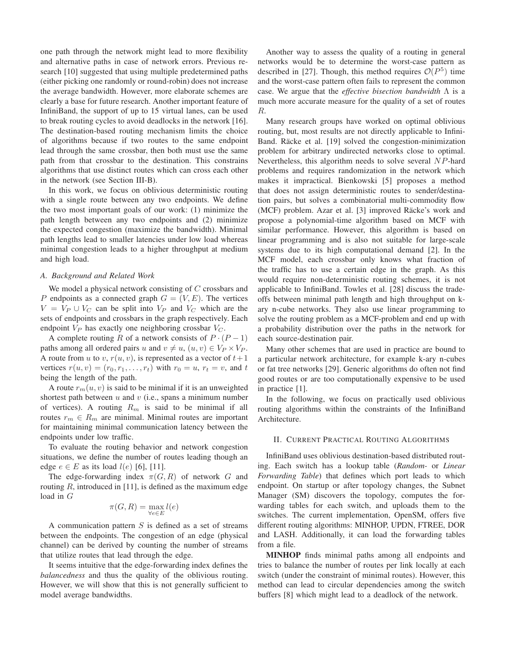one path through the network might lead to more flexibility and alternative paths in case of network errors. Previous research [10] suggested that using multiple predetermined paths (either picking one randomly or round-robin) does not increase the average bandwidth. However, more elaborate schemes are clearly a base for future research. Another important feature of InfiniBand, the support of up to 15 virtual lanes, can be used to break routing cycles to avoid deadlocks in the network [16]. The destination-based routing mechanism limits the choice of algorithms because if two routes to the same endpoint lead through the same crossbar, then both must use the same path from that crossbar to the destination. This constrains algorithms that use distinct routes which can cross each other in the network (see Section III-B).

In this work, we focus on oblivious deterministic routing with a single route between any two endpoints. We define the two most important goals of our work: (1) minimize the path length between any two endpoints and (2) minimize the expected congestion (maximize the bandwidth). Minimal path lengths lead to smaller latencies under low load whereas minimal congestion leads to a higher throughput at medium and high load.

## *A. Background and Related Work*

We model a physical network consisting of  $C$  crossbars and P endpoints as a connected graph  $G = (V, E)$ . The vertices  $V = V_P \cup V_C$  can be split into  $V_P$  and  $V_C$  which are the sets of endpoints and crossbars in the graph respectively. Each endpoint  $V_P$  has exactly one neighboring crossbar  $V_C$ .

A complete routing R of a network consists of  $P \cdot (P-1)$ paths among all ordered pairs u and  $v \neq u$ ,  $(u, v) \in V_P \times V_P$ . A route from u to v,  $r(u, v)$ , is represented as a vector of  $t+1$ vertices  $r(u, v) = (r_0, r_1, \ldots, r_t)$  with  $r_0 = u, r_t = v$ , and t being the length of the path.

A route  $r_m(u, v)$  is said to be minimal if it is an unweighted shortest path between  $u$  and  $v$  (i.e., spans a minimum number of vertices). A routing  $R_m$  is said to be minimal if all routes  $r_m \in R_m$  are minimal. Minimal routes are important for maintaining minimal communication latency between the endpoints under low traffic.

To evaluate the routing behavior and network congestion situations, we define the number of routes leading though an edge  $e \in E$  as its load  $l(e)$  [6], [11].

The edge-forwarding index  $\pi(G, R)$  of network G and routing  $R$ , introduced in [11], is defined as the maximum edge load in G

$$
\pi(G,R)=\max_{\forall e\in E}l(e)
$$

A communication pattern  $S$  is defined as a set of streams between the endpoints. The congestion of an edge (physical channel) can be derived by counting the number of streams that utilize routes that lead through the edge.

It seems intuitive that the edge-forwarding index defines the *balancedness* and thus the quality of the oblivious routing. However, we will show that this is not generally sufficient to model average bandwidths.

Another way to assess the quality of a routing in general networks would be to determine the worst-case pattern as described in [27]. Though, this method requires  $\mathcal{O}(P^5)$  time and the worst-case pattern often fails to represent the common case. We argue that the *effective bisection bandwidth* Λ is a much more accurate measure for the quality of a set of routes R.

Many research groups have worked on optimal oblivious routing, but, most results are not directly applicable to Infini-Band. Räcke et al. [19] solved the congestion-minimization problem for arbitrary undirected networks close to optimal. Nevertheless, this algorithm needs to solve several NP-hard problems and requires randomization in the network which makes it impractical. Bienkowski [5] proposes a method that does not assign deterministic routes to sender/destination pairs, but solves a combinatorial multi-commodity flow (MCF) problem. Azar et al. [3] improved Räcke's work and propose a polynomial-time algorithm based on MCF with similar performance. However, this algorithm is based on linear programming and is also not suitable for large-scale systems due to its high computational demand [2]. In the MCF model, each crossbar only knows what fraction of the traffic has to use a certain edge in the graph. As this would require non-deterministic routing schemes, it is not applicable to InfiniBand. Towles et al. [28] discuss the tradeoffs between minimal path length and high throughput on kary n-cube networks. They also use linear programming to solve the routing problem as a MCF-problem and end up with a probability distribution over the paths in the network for each source-destination pair.

Many other schemes that are used in practice are bound to a particular network architecture, for example k-ary n-cubes or fat tree networks [29]. Generic algorithms do often not find good routes or are too computationally expensive to be used in practice [1].

In the following, we focus on practically used oblivious routing algorithms within the constraints of the InfiniBand Architecture.

### II. CURRENT PRACTICAL ROUTING ALGORITHMS

InfiniBand uses oblivious destination-based distributed routing. Each switch has a lookup table (*Random-* or *Linear Forwarding Table*) that defines which port leads to which endpoint. On startup or after topology changes, the Subnet Manager (SM) discovers the topology, computes the forwarding tables for each switch, and uploads them to the switches. The current implementation, OpenSM, offers five different routing algorithms: MINHOP, UPDN, FTREE, DOR and LASH. Additionally, it can load the forwarding tables from a file.

**MINHOP** finds minimal paths among all endpoints and tries to balance the number of routes per link locally at each switch (under the constraint of minimal routes). However, this method can lead to circular dependencies among the switch buffers [8] which might lead to a deadlock of the network.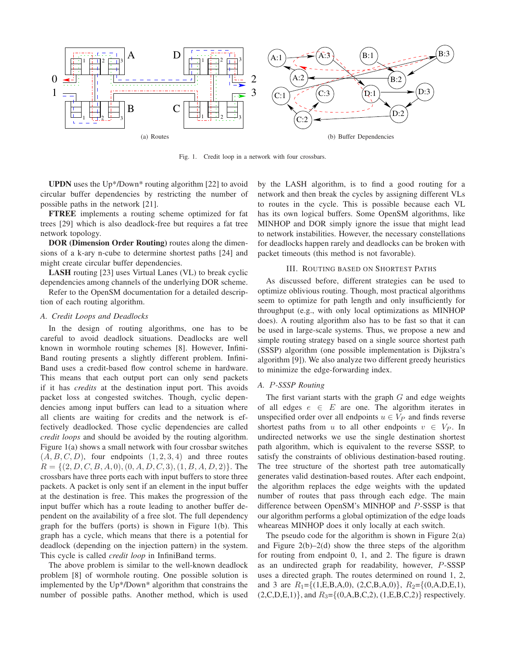

Fig. 1. Credit loop in a network with four crossbars.

**UPDN** uses the Up\*/Down\* routing algorithm [22] to avoid circular buffer dependencies by restricting the number of possible paths in the network [21].

**FTREE** implements a routing scheme optimized for fat trees [29] which is also deadlock-free but requires a fat tree network topology.

**DOR (Dimension Order Routing)** routes along the dimensions of a k-ary n-cube to determine shortest paths [24] and might create circular buffer dependencies.

**LASH** routing [23] uses Virtual Lanes (VL) to break cyclic dependencies among channels of the underlying DOR scheme.

Refer to the OpenSM documentation for a detailed description of each routing algorithm.

## *A. Credit Loops and Deadlocks*

In the design of routing algorithms, one has to be careful to avoid deadlock situations. Deadlocks are well known in wormhole routing schemes [8]. However, Infini-Band routing presents a slightly different problem. Infini-Band uses a credit-based flow control scheme in hardware. This means that each output port can only send packets if it has *credits* at the destination input port. This avoids packet loss at congested switches. Though, cyclic dependencies among input buffers can lead to a situation where all clients are waiting for credits and the network is effectively deadlocked. Those cyclic dependencies are called *credit loops* and should be avoided by the routing algorithm. Figure 1(a) shows a small network with four crossbar switches  $(A, B, C, D)$ , four endpoints  $(1, 2, 3, 4)$  and three routes  $R = \{(2, D, C, B, A, 0), (0, A, D, C, 3), (1, B, A, D, 2)\}.$  The crossbars have three ports each with input buffers to store three packets. A packet is only sent if an element in the input buffer at the destination is free. This makes the progression of the input buffer which has a route leading to another buffer dependent on the availability of a free slot. The full dependency graph for the buffers (ports) is shown in Figure 1(b). This graph has a cycle, which means that there is a potential for deadlock (depending on the injection pattern) in the system. This cycle is called *credit loop* in InfiniBand terms.

The above problem is similar to the well-known deadlock problem [8] of wormhole routing. One possible solution is implemented by the Up\*/Down\* algorithm that constrains the number of possible paths. Another method, which is used by the LASH algorithm, is to find a good routing for a network and then break the cycles by assigning different VLs to routes in the cycle. This is possible because each VL has its own logical buffers. Some OpenSM algorithms, like MINHOP and DOR simply ignore the issue that might lead to network instabilities. However, the necessary constellations for deadlocks happen rarely and deadlocks can be broken with packet timeouts (this method is not favorable).

## III. ROUTING BASED ON SHORTEST PATHS

As discussed before, different strategies can be used to optimize oblivious routing. Though, most practical algorithms seem to optimize for path length and only insufficiently for throughput (e.g., with only local optimizations as MINHOP does). A routing algorithm also has to be fast so that it can be used in large-scale systems. Thus, we propose a new and simple routing strategy based on a single source shortest path (SSSP) algorithm (one possible implementation is Dijkstra's algorithm [9]). We also analyze two different greedy heuristics to minimize the edge-forwarding index.

# *A.* P*-SSSP Routing*

The first variant starts with the graph  $G$  and edge weights of all edges  $e \in E$  are one. The algorithm iterates in unspecified order over all endpoints  $u \in V_P$  and finds reverse shortest paths from u to all other endpoints  $v \in V_P$ . In undirected networks we use the single destination shortest path algorithm, which is equivalent to the reverse SSSP, to satisfy the constraints of oblivious destination-based routing. The tree structure of the shortest path tree automatically generates valid destination-based routes. After each endpoint, the algorithm replaces the edge weights with the updated number of routes that pass through each edge. The main difference between OpenSM's MINHOP and P-SSSP is that our algorithm performs a global optimization of the edge loads wheareas MINHOP does it only locally at each switch.

The pseudo code for the algorithm is shown in Figure  $2(a)$ and Figure  $2(b)-2(d)$  show the three steps of the algorithm for routing from endpoint 0, 1, and 2. The figure is drawn as an undirected graph for readability, however, P-SSSP uses a directed graph. The routes determined on round 1, 2, and 3 are  $R_1 = \{(1, E, B, A, 0), (2, C, B, A, 0)\}, R_2 = \{(0, A, D, E, 1),$  $(2, C, D, E, 1)$ , and  $R_3 = \{(0, A, B, C, 2), (1, E, B, C, 2)\}$  respectively.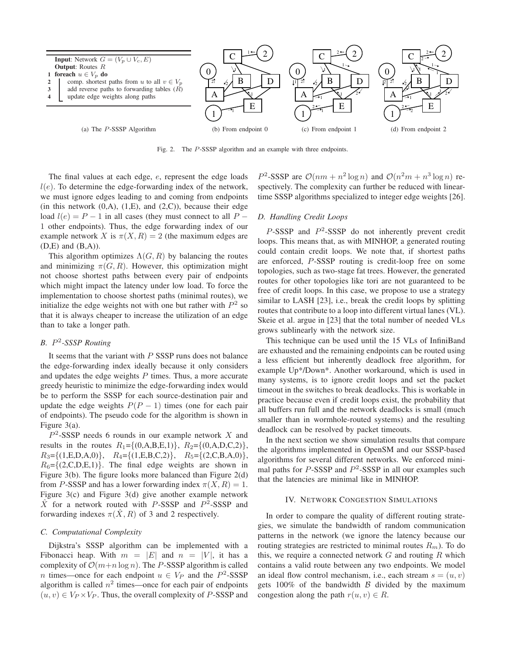

Fig. 2. The P-SSSP algorithm and an example with three endpoints.

The final values at each edge, e, represent the edge loads  $l(e)$ . To determine the edge-forwarding index of the network, we must ignore edges leading to and coming from endpoints (in this network  $(0, A)$ ,  $(1, E)$ , and  $(2, C)$ ), because their edge load  $l(e) = P - 1$  in all cases (they must connect to all P – 1 other endpoints). Thus, the edge forwarding index of our example network X is  $\pi(X, R) = 2$  (the maximum edges are (D,E) and (B,A)).

This algorithm optimizes  $\Lambda(G, R)$  by balancing the routes and minimizing  $\pi(G, R)$ . However, this optimization might not choose shortest paths between every pair of endpoints which might impact the latency under low load. To force the implementation to choose shortest paths (minimal routes), we initialize the edge weights not with one but rather with  $P<sup>2</sup>$  so that it is always cheaper to increase the utilization of an edge than to take a longer path.

# *B.* P 2 *-SSSP Routing*

It seems that the variant with  $P$  SSSP runs does not balance the edge-forwarding index ideally because it only considers and updates the edge weights  $P$  times. Thus, a more accurate greedy heuristic to minimize the edge-forwarding index would be to perform the SSSP for each source-destination pair and update the edge weights  $P(P - 1)$  times (one for each pair of endpoints). The pseudo code for the algorithm is shown in Figure 3(a).

 $P<sup>2</sup>$ -SSSP needs 6 rounds in our example network X and results in the routes  $R_1 = \{(0, A, B, E, 1)\}, R_2 = \{(0, A, D, C, 2)\},$  $R_3 = \{(1, E, D, A, 0)\}, R_4 = \{(1, E, B, C, 2)\}, R_5 = \{(2, C, B, A, 0)\},$  $R_6 = \{(2, C, D, E, 1)\}\.$  The final edge weights are shown in Figure 3(b). The figure looks more balanced than Figure 2(d) from P-SSSP and has a lower forwarding index  $\pi(X, R) = 1$ . Figure 3(c) and Figure 3(d) give another example network  $\hat{X}$  for a network routed with P-SSSP and  $P^2$ -SSSP and forwarding indexes  $\pi(X, R)$  of 3 and 2 respectively.

# *C. Computational Complexity*

Dijkstra's SSSP algorithm can be implemented with a Fibonacci heap. With  $m = |E|$  and  $n = |V|$ , it has a complexity of  $\mathcal{O}(m+n \log n)$ . The P-SSSP algorithm is called *n* times—once for each endpoint  $u \in V_P$  and the  $P^2$ -SSSP algorithm is called  $n^2$  times—once for each pair of endpoints  $(u, v) \in V_P \times V_P$ . Thus, the overall complexity of P-SSSP and

 $P^2$ -SSSP are  $\mathcal{O}(nm + n^2 \log n)$  and  $\mathcal{O}(n^2m + n^3 \log n)$  respectively. The complexity can further be reduced with lineartime SSSP algorithms specialized to integer edge weights [26].

# *D. Handling Credit Loops*

 $P$ -SSSP and  $P$ <sup>2</sup>-SSSP do not inherently prevent credit loops. This means that, as with MINHOP, a generated routing could contain credit loops. We note that, if shortest paths are enforced, P-SSSP routing is credit-loop free on some topologies, such as two-stage fat trees. However, the generated routes for other topologies like tori are not guaranteed to be free of credit loops. In this case, we propose to use a strategy similar to LASH [23], i.e., break the credit loops by splitting routes that contribute to a loop into different virtual lanes (VL). Skeie et al. argue in [23] that the total number of needed VLs grows sublinearly with the network size.

This technique can be used until the 15 VLs of InfiniBand are exhausted and the remaining endpoints can be routed using a less efficient but inherently deadlock free algorithm, for example Up\*/Down\*. Another workaround, which is used in many systems, is to ignore credit loops and set the packet timeout in the switches to break deadlocks. This is workable in practice because even if credit loops exist, the probability that all buffers run full and the network deadlocks is small (much smaller than in wormhole-routed systems) and the resulting deadlock can be resolved by packet timeouts.

In the next section we show simulation results that compare the algorithms implemented in OpenSM and our SSSP-based algorithms for several different networks. We enforced minimal paths for  $P$ -SSSP and  $P$ <sup>2</sup>-SSSP in all our examples such that the latencies are minimal like in MINHOP.

## IV. NETWORK CONGESTION SIMULATIONS

In order to compare the quality of different routing strategies, we simulate the bandwidth of random communication patterns in the network (we ignore the latency because our routing strategies are restricted to minimal routes  $R_m$ ). To do this, we require a connected network  $G$  and routing  $R$  which contains a valid route between any two endpoints. We model an ideal flow control mechanism, i.e., each stream  $s = (u, v)$ gets  $100\%$  of the bandwidth  $\beta$  divided by the maximum congestion along the path  $r(u, v) \in R$ .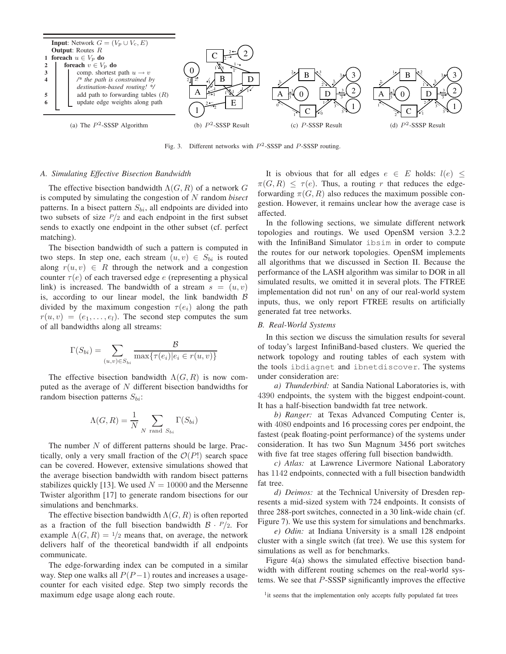

Fig. 3. Different networks with  $P^2$ -SSSP and P-SSSP routing.

#### *A. Simulating Effective Bisection Bandwidth*

The effective bisection bandwidth  $\Lambda(G, R)$  of a network G is computed by simulating the congestion of N random *bisect* patterns. In a bisect pattern  $S_{bi}$ , all endpoints are divided into two subsets of size  $P/2$  and each endpoint in the first subset sends to exactly one endpoint in the other subset (cf. perfect matching).

The bisection bandwidth of such a pattern is computed in two steps. In step one, each stream  $(u, v) \in S_{bi}$  is routed along  $r(u, v) \in R$  through the network and a congestion counter  $\tau(e)$  of each traversed edge e (representing a physical link) is increased. The bandwidth of a stream  $s = (u, v)$ is, according to our linear model, the link bandwidth  $\beta$ divided by the maximum congestion  $\tau(e_i)$  along the path  $r(u, v) = (e_1, \ldots, e_l)$ . The second step computes the sum of all bandwidths along all streams:

$$
\Gamma(S_{bi}) = \sum_{(u,v)\in S_{bi}} \frac{\mathcal{B}}{\max\{\tau(e_i)|e_i \in r(u,v)\}}
$$

The effective bisection bandwidth  $\Lambda(G, R)$  is now computed as the average of  $N$  different bisection bandwidths for random bisection patterns  $S_{bi}$ :

$$
\Lambda(G, R) = \frac{1}{N} \sum_{N \text{ rand } S_{bi}} \Gamma(S_{bi})
$$

The number  $N$  of different patterns should be large. Practically, only a very small fraction of the  $\mathcal{O}(P!)$  search space can be covered. However, extensive simulations showed that the average bisection bandwidth with random bisect patterns stabilizes quickly [13]. We used  $N = 10000$  and the Mersenne Twister algorithm [17] to generate random bisections for our simulations and benchmarks.

The effective bisection bandwidth  $\Lambda(G, R)$  is often reported as a fraction of the full bisection bandwidth  $\beta \cdot P/2$ . For example  $\Lambda(G, R) = 1/2$  means that, on average, the network delivers half of the theoretical bandwidth if all endpoints communicate.

The edge-forwarding index can be computed in a similar way. Step one walks all  $P(P-1)$  routes and increases a usagecounter for each visited edge. Step two simply records the maximum edge usage along each route.

It is obvious that for all edges  $e \in E$  holds:  $l(e) \leq$  $\pi(G, R) \leq \tau(e)$ . Thus, a routing r that reduces the edgeforwarding  $\pi(G, R)$  also reduces the maximum possible congestion. However, it remains unclear how the average case is affected.

In the following sections, we simulate different network topologies and routings. We used OpenSM version 3.2.2 with the InfiniBand Simulator ibsim in order to compute the routes for our network topologies. OpenSM implements all algorithms that we discussed in Section II. Because the performance of the LASH algorithm was similar to DOR in all simulated results, we omitted it in several plots. The FTREE implementation did not run<sup>1</sup> on any of our real-world system inputs, thus, we only report FTREE results on artificially generated fat tree networks.

# *B. Real-World Systems*

In this section we discuss the simulation results for several of today's largest InfiniBand-based clusters. We queried the network topology and routing tables of each system with the tools ibdiagnet and ibnetdiscover. The systems under consideration are:

*a) Thunderbird:* at Sandia National Laboratories is, with 4390 endpoints, the system with the biggest endpoint-count. It has a half-bisection bandwidth fat tree network.

*b) Ranger:* at Texas Advanced Computing Center is, with 4080 endpoints and 16 processing cores per endpoint, the fastest (peak floating-point performance) of the systems under consideration. It has two Sun Magnum 3456 port switches with five fat tree stages offering full bisection bandwidth.

*c) Atlas:* at Lawrence Livermore National Laboratory has 1142 endpoints, connected with a full bisection bandwidth fat tree.

*d) Deimos:* at the Technical University of Dresden represents a mid-sized system with 724 endpoints. It consists of three 288-port switches, connected in a 30 link-wide chain (cf. Figure 7). We use this system for simulations and benchmarks.

*e) Odin:* at Indiana University is a small 128 endpoint cluster with a single switch (fat tree). We use this system for simulations as well as for benchmarks.

Figure 4(a) shows the simulated effective bisection bandwidth with different routing schemes on the real-world systems. We see that P-SSSP significantly improves the effective

<sup>&</sup>lt;sup>1</sup>it seems that the implementation only accepts fully populated fat trees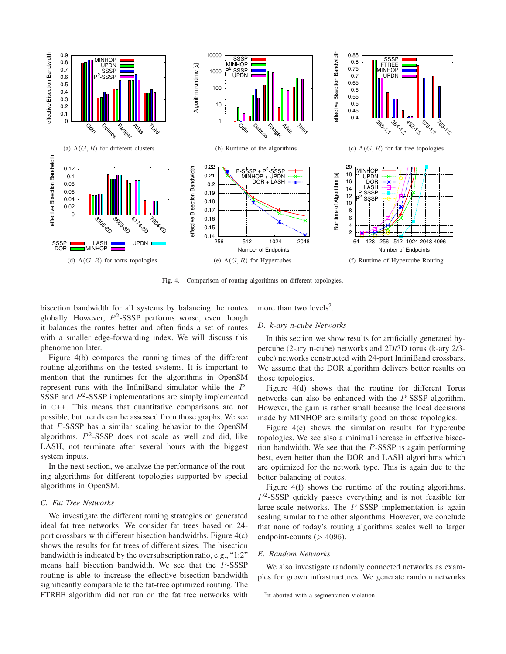

Fig. 4. Comparison of routing algorithms on different topologies.

bisection bandwidth for all systems by balancing the routes globally. However,  $P^2$ -SSSP performs worse, even though it balances the routes better and often finds a set of routes with a smaller edge-forwarding index. We will discuss this phenomenon later.

Figure 4(b) compares the running times of the different routing algorithms on the tested systems. It is important to mention that the runtimes for the algorithms in OpenSM represent runs with the InfiniBand simulator while the P-SSSP and  $P^2$ -SSSP implementations are simply implemented in C++. This means that quantitative comparisons are not possible, but trends can be assessed from those graphs. We see that P-SSSP has a similar scaling behavior to the OpenSM algorithms.  $P^2$ -SSSP does not scale as well and did, like LASH, not terminate after several hours with the biggest system inputs.

In the next section, we analyze the performance of the routing algorithms for different topologies supported by special algorithms in OpenSM.

# *C. Fat Tree Networks*

We investigate the different routing strategies on generated ideal fat tree networks. We consider fat trees based on 24 port crossbars with different bisection bandwidths. Figure 4(c) shows the results for fat trees of different sizes. The bisection bandwidth is indicated by the oversubscription ratio, e.g., "1:2" means half bisection bandwidth. We see that the P-SSSP routing is able to increase the effective bisection bandwidth significantly comparable to the fat-tree optimized routing. The FTREE algorithm did not run on the fat tree networks with

more than two levels<sup>2</sup>.

# *D. k-ary n-cube Networks*

In this section we show results for artificially generated hypercube (2-ary n-cube) networks and 2D/3D torus (k-ary 2/3 cube) networks constructed with 24-port InfiniBand crossbars. We assume that the DOR algorithm delivers better results on those topologies.

Figure 4(d) shows that the routing for different Torus networks can also be enhanced with the P-SSSP algorithm. However, the gain is rather small because the local decisions made by MINHOP are similarly good on those topologies.

Figure 4(e) shows the simulation results for hypercube topologies. We see also a minimal increase in effective bisection bandwidth. We see that the  $P$ -SSSP is again performing best, even better than the DOR and LASH algorithms which are optimized for the network type. This is again due to the better balancing of routes.

Figure 4(f) shows the runtime of the routing algorithms.  $P<sup>2</sup>$ -SSSP quickly passes everything and is not feasible for large-scale networks. The P-SSSP implementation is again scaling similar to the other algorithms. However, we conclude that none of today's routing algorithms scales well to larger endpoint-counts  $(>4096)$ .

# *E. Random Networks*

We also investigate randomly connected networks as examples for grown infrastructures. We generate random networks

<sup>&</sup>lt;sup>2</sup>it aborted with a segmentation violation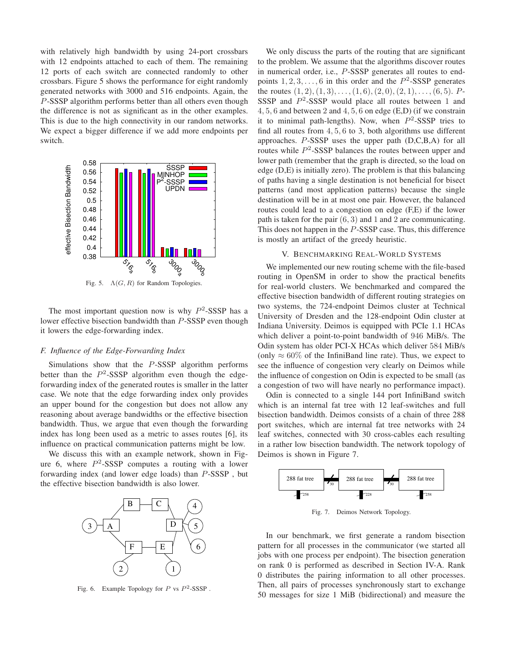with relatively high bandwidth by using 24-port crossbars with 12 endpoints attached to each of them. The remaining 12 ports of each switch are connected randomly to other crossbars. Figure 5 shows the performance for eight randomly generated networks with 3000 and 516 endpoints. Again, the P-SSSP algorithm performs better than all others even though the difference is not as significant as in the other examples. This is due to the high connectivity in our random networks. We expect a bigger difference if we add more endpoints per switch.



Fig. 5.  $\Lambda(G, R)$  for Random Topologies.

The most important question now is why  $P<sup>2</sup>$ -SSSP has a lower effective bisection bandwidth than P-SSSP even though it lowers the edge-forwarding index.

# *F. Influence of the Edge-Forwarding Index*

Simulations show that the P-SSSP algorithm performs better than the  $P^2$ -SSSP algorithm even though the edgeforwarding index of the generated routes is smaller in the latter case. We note that the edge forwarding index only provides an upper bound for the congestion but does not allow any reasoning about average bandwidths or the effective bisection bandwidth. Thus, we argue that even though the forwarding index has long been used as a metric to asses routes [6], its influence on practical communication patterns might be low.

We discuss this with an example network, shown in Figure 6, where  $P^2$ -SSSP computes a routing with a lower forwarding index (and lower edge loads) than P-SSSP , but the effective bisection bandwidth is also lower.



Fig. 6. Example Topology for  $P$  vs  $P^2$ -SSSP.

We only discuss the parts of the routing that are significant to the problem. We assume that the algorithms discover routes in numerical order, i.e., P-SSSP generates all routes to endpoints  $1, 2, 3, \ldots, 6$  in this order and the  $P^2$ -SSSP generates the routes  $(1, 2), (1, 3), \ldots, (1, 6), (2, 0), (2, 1), \ldots, (6, 5)$ . P-SSSP and  $P^2$ -SSSP would place all routes between 1 and 4, 5, 6 and between 2 and 4, 5, 6 on edge (E,D) (if we constrain it to minimal path-lengths). Now, when  $P^2$ -SSSP tries to find all routes from 4, 5, 6 to 3, both algorithms use different approaches. P-SSSP uses the upper path (D,C,B,A) for all routes while  $P^2$ -SSSP balances the routes between upper and lower path (remember that the graph is directed, so the load on edge (D,E) is initially zero). The problem is that this balancing of paths having a single destination is not beneficial for bisect patterns (and most application patterns) because the single destination will be in at most one pair. However, the balanced routes could lead to a congestion on edge (F,E) if the lower path is taken for the pair  $(6, 3)$  and 1 and 2 are communicating. This does not happen in the P-SSSP case. Thus, this difference is mostly an artifact of the greedy heuristic.

## V. BENCHMARKING REAL-WORLD SYSTEMS

We implemented our new routing scheme with the file-based routing in OpenSM in order to show the practical benefits for real-world clusters. We benchmarked and compared the effective bisection bandwidth of different routing strategies on two systems, the 724-endpoint Deimos cluster at Technical University of Dresden and the 128-endpoint Odin cluster at Indiana University. Deimos is equipped with PCIe 1.1 HCAs which deliver a point-to-point bandwidth of 946 MiB/s. The Odin system has older PCI-X HCAs which deliver 584 MiB/s (only  $\approx 60\%$  of the InfiniBand line rate). Thus, we expect to see the influence of congestion very clearly on Deimos while the influence of congestion on Odin is expected to be small (as a congestion of two will have nearly no performance impact).

Odin is connected to a single 144 port InfiniBand switch which is an internal fat tree with 12 leaf-switches and full bisection bandwidth. Deimos consists of a chain of three 288 port switches, which are internal fat tree networks with 24 leaf switches, connected with 30 cross-cables each resulting in a rather low bisection bandwidth. The network topology of Deimos is shown in Figure 7.



Fig. 7. Deimos Network Topology.

In our benchmark, we first generate a random bisection pattern for all processes in the communicator (we started all jobs with one process per endpoint). The bisection generation on rank 0 is performed as described in Section IV-A. Rank 0 distributes the pairing information to all other processes. Then, all pairs of processes synchronously start to exchange 50 messages for size 1 MiB (bidirectional) and measure the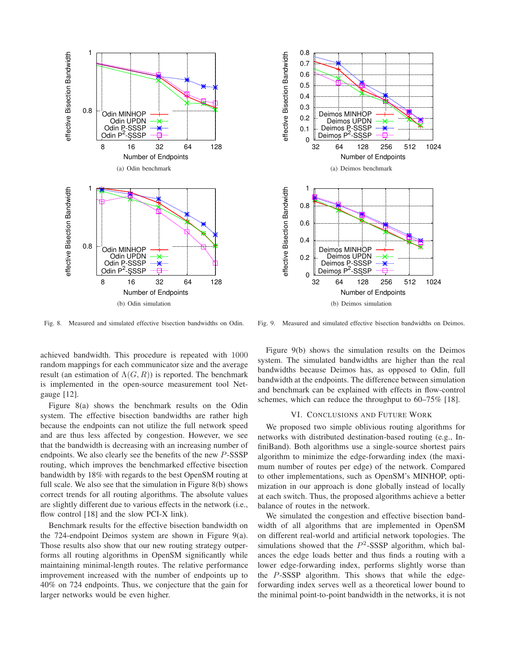

(b) Odin simulation

Fig. 8. Measured and simulated effective bisection bandwidths on Odin.

achieved bandwidth. This procedure is repeated with 1000 random mappings for each communicator size and the average result (an estimation of  $\Lambda(G, R)$ ) is reported. The benchmark is implemented in the open-source measurement tool Netgauge [12].

Figure 8(a) shows the benchmark results on the Odin system. The effective bisection bandwidths are rather high because the endpoints can not utilize the full network speed and are thus less affected by congestion. However, we see that the bandwidth is decreasing with an increasing number of endpoints. We also clearly see the benefits of the new P-SSSP routing, which improves the benchmarked effective bisection bandwidth by 18% with regards to the best OpenSM routing at full scale. We also see that the simulation in Figure 8(b) shows correct trends for all routing algorithms. The absolute values are slightly different due to various effects in the network (i.e., flow control [18] and the slow PCI-X link).

Benchmark results for the effective bisection bandwidth on the 724-endpoint Deimos system are shown in Figure 9(a). Those results also show that our new routing strategy outperforms all routing algorithms in OpenSM significantly while maintaining minimal-length routes. The relative performance improvement increased with the number of endpoints up to 40% on 724 endpoints. Thus, we conjecture that the gain for larger networks would be even higher.



Fig. 9. Measured and simulated effective bisection bandwidths on Deimos.

Figure 9(b) shows the simulation results on the Deimos system. The simulated bandwidths are higher than the real bandwidths because Deimos has, as opposed to Odin, full bandwidth at the endpoints. The difference between simulation and benchmark can be explained with effects in flow-control schemes, which can reduce the throughput to 60–75% [18].

## VI. CONCLUSIONS AND FUTURE WORK

We proposed two simple oblivious routing algorithms for networks with distributed destination-based routing (e.g., InfiniBand). Both algorithms use a single-source shortest pairs algorithm to minimize the edge-forwarding index (the maximum number of routes per edge) of the network. Compared to other implementations, such as OpenSM's MINHOP, optimization in our approach is done globally instead of locally at each switch. Thus, the proposed algorithms achieve a better balance of routes in the network.

We simulated the congestion and effective bisection bandwidth of all algorithms that are implemented in OpenSM on different real-world and artificial network topologies. The simulations showed that the  $P^2$ -SSSP algorithm, which balances the edge loads better and thus finds a routing with a lower edge-forwarding index, performs slightly worse than the P-SSSP algorithm. This shows that while the edgeforwarding index serves well as a theoretical lower bound to the minimal point-to-point bandwidth in the networks, it is not